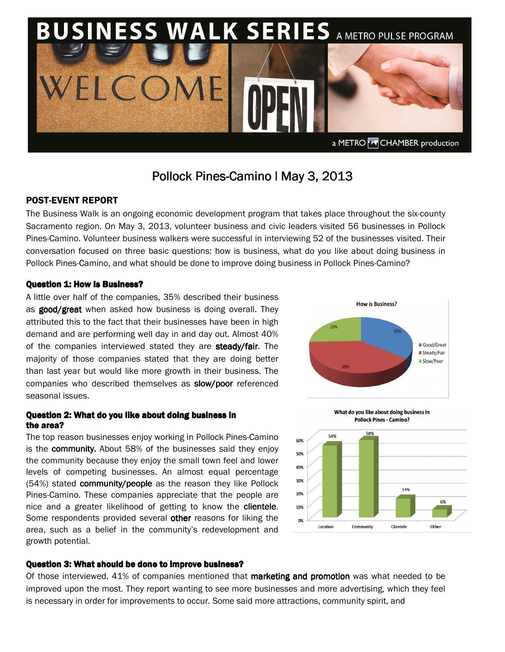

# Pollock Pines-Camino | May 3, 2013

# POST-EVENT REPORT

The Business Walk is an ongoing economic development program that takes place throughout the six-county Sacramento region. On May 3, 2013, volunteer business and civic leaders visited 56 businesses in Pollock Pines-Camino. Volunteer business walkers were successful in interviewing 52 of the businesses visited. Their conversation focused on three basic questions: how is business, what do you like about doing business in Pollock Pines-Camino, and what should be done to improve doing business in Pollock Pines-Camino?

## Question 1: How Is Business?

A little over half of the companies, 35% described their business as good/great when asked how business is doing overall. They attributed this to the fact that their businesses have been in high demand and are performing well day in and day out. Almost 40% of the companies interviewed stated they are steady/fair. The majority of those companies stated that they are doing better than last year but would like more growth in their business. The companies who described themselves as **slow/poor** referenced seasonal issues.

## Question 2: What do you like about doing business in the area?

The top reason businesses enjoy working in Pollock Pines-Camino is the **community.** About 58% of the businesses said they enjoy the community because they enjoy the small town feel and lower levels of competing businesses. An almost equal percentage  $(54%)$  stated community/people as the reason they like Pollock Pines-Camino. These companies appreciate that the people are nice and a greater likelihood of getting to know the clientele. Some respondents provided several other reasons for liking the area, such as a belief in the community's redevelopment and growth potential.







### Question 3: What should be done to improve business?

Of those interviewed, 41% of companies mentioned that **marketing and promotion** was what needed to be improved upon the most. They report wanting to see more businesses and more advertising, which they feel is necessary in order for improvements to occur. Some said more attractions, community spirit, and